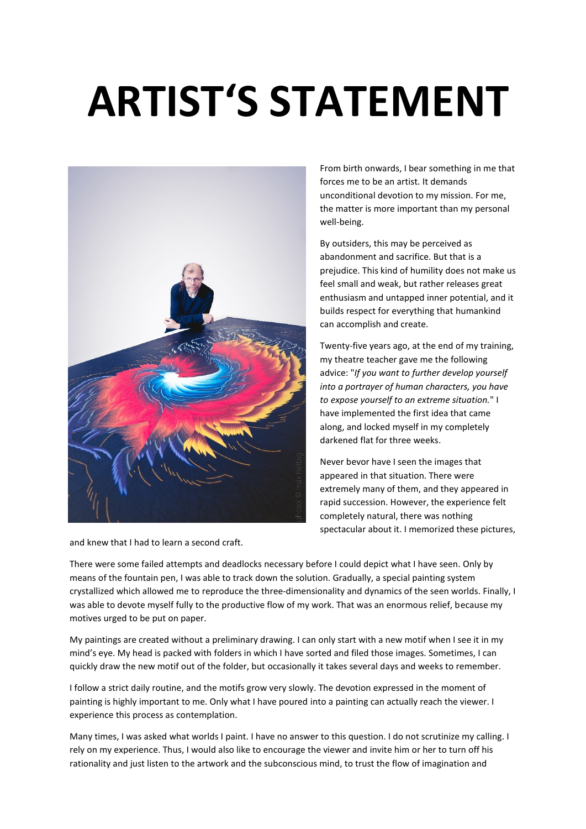## **ARTIST'S STATEMENT**



and knew that I had to learn a second craft.

From birth onwards, I bear something in me that forces me to be an artist. It demands unconditional devotion to my mission. For me, the matter is more important than my personal well-being.

By outsiders, this may be perceived as abandonment and sacrifice. But that is a prejudice. This kind of humility does not make us feel small and weak, but rather releases great enthusiasm and untapped inner potential, and it builds respect for everything that humankind can accomplish and create.

Twenty-five years ago, at the end of my training, my theatre teacher gave me the following advice: "*If you want to further develop yourself into a portrayer of human characters, you have to expose yourself to an extreme situation.*" I have implemented the first idea that came along, and locked myself in my completely darkened flat for three weeks.

Never bevor have I seen the images that appeared in that situation. There were extremely many of them, and they appeared in rapid succession. However, the experience felt completely natural, there was nothing spectacular about it. I memorized these pictures,

There were some failed attempts and deadlocks necessary before I could depict what I have seen. Only by means of the fountain pen, I was able to track down the solution. Gradually, a special painting system crystallized which allowed me to reproduce the three-dimensionality and dynamics of the seen worlds. Finally, I was able to devote myself fully to the productive flow of my work. That was an enormous relief, because my motives urged to be put on paper.

My paintings are created without a preliminary drawing. I can only start with a new motif when I see it in my mind's eye. My head is packed with folders in which I have sorted and filed those images. Sometimes, I can quickly draw the new motif out of the folder, but occasionally it takes several days and weeks to remember.

I follow a strict daily routine, and the motifs grow very slowly. The devotion expressed in the moment of painting is highly important to me. Only what I have poured into a painting can actually reach the viewer. I experience this process as contemplation.

Many times, I was asked what worlds I paint. I have no answer to this question. I do not scrutinize my calling. I rely on my experience. Thus, I would also like to encourage the viewer and invite him or her to turn off his rationality and just listen to the artwork and the subconscious mind, to trust the flow of imagination and